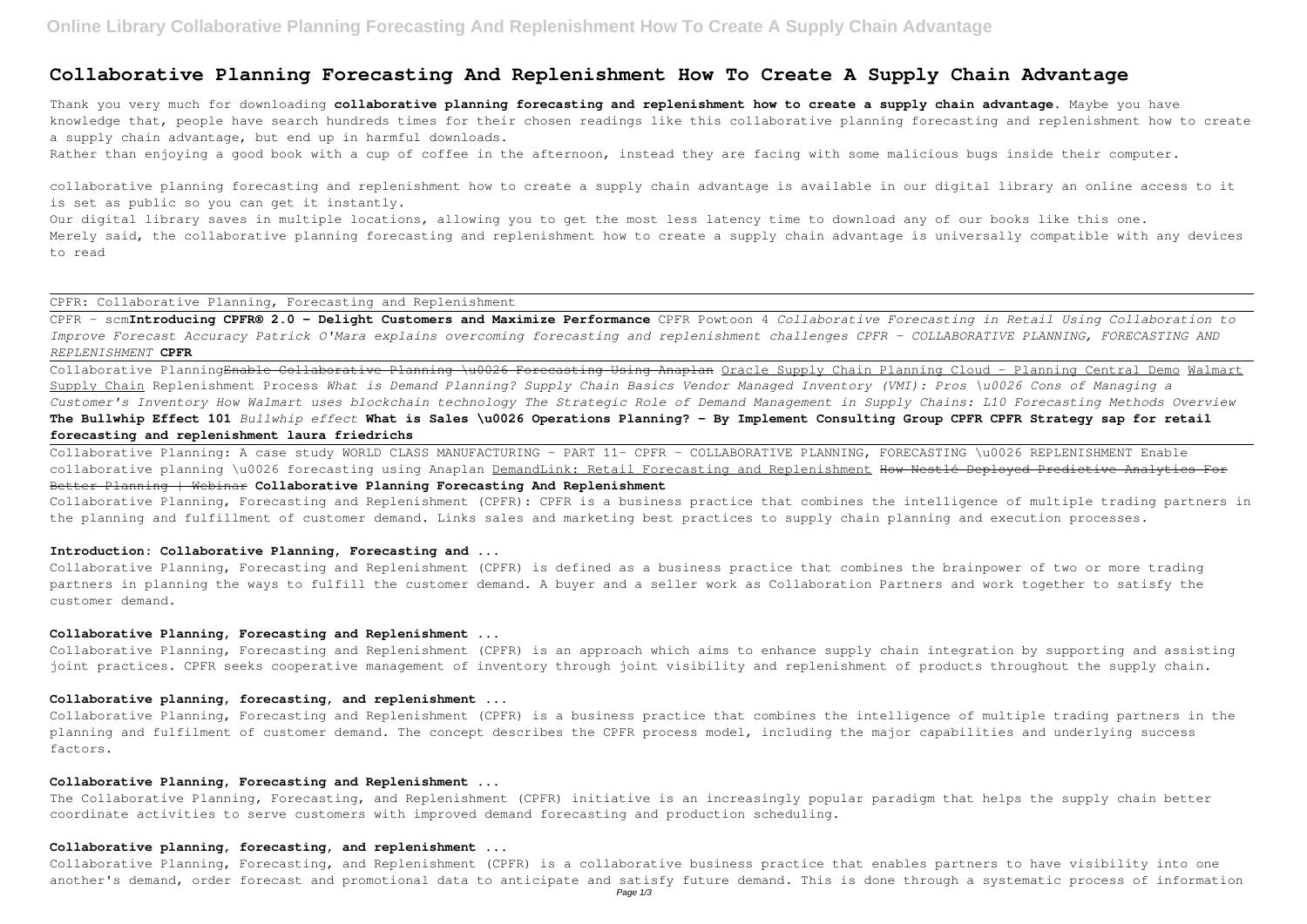# **Collaborative Planning Forecasting And Replenishment How To Create A Supply Chain Advantage**

Thank you very much for downloading **collaborative planning forecasting and replenishment how to create a supply chain advantage**. Maybe you have knowledge that, people have search hundreds times for their chosen readings like this collaborative planning forecasting and replenishment how to create a supply chain advantage, but end up in harmful downloads.

Rather than enjoying a good book with a cup of coffee in the afternoon, instead they are facing with some malicious bugs inside their computer.

Our digital library saves in multiple locations, allowing you to get the most less latency time to download any of our books like this one. Merely said, the collaborative planning forecasting and replenishment how to create a supply chain advantage is universally compatible with any devices to read

collaborative planning forecasting and replenishment how to create a supply chain advantage is available in our digital library an online access to it is set as public so you can get it instantly.

CPFR: Collaborative Planning, Forecasting and Replenishment

Collaborative Planning: A case study WORLD CLASS MANUFACTURING - PART 11- CPFR - COLLABORATIVE PLANNING, FORECASTING \u0026 REPLENISHMENT Enable collaborative planning \u0026 forecasting using Anaplan DemandLink: Retail Forecasting and Replenishment How Nestlé Deployed Predictive Analytics For Better Planning | Webinar **Collaborative Planning Forecasting And Replenishment**

CPFR - scm**Introducing CPFR® 2.0 - Delight Customers and Maximize Performance** CPFR Powtoon 4 *Collaborative Forecasting in Retail Using Collaboration to Improve Forecast Accuracy Patrick O'Mara explains overcoming forecasting and replenishment challenges CPFR – COLLABORATIVE PLANNING, FORECASTING AND REPLENISHMENT* **CPFR**

Collaborative PlanningEnable Collaborative Planning \u0026 Forecasting Using Anaplan Oracle Supply Chain Planning Cloud - Planning Central Demo Walmart Supply Chain Replenishment Process *What is Demand Planning? Supply Chain Basics Vendor Managed Inventory (VMI): Pros \u0026 Cons of Managing a Customer's Inventory How Walmart uses blockchain technology The Strategic Role of Demand Management in Supply Chains: L10 Forecasting Methods Overview* **The Bullwhip Effect 101** *Bullwhip effect* **What is Sales \u0026 Operations Planning? - By Implement Consulting Group CPFR CPFR Strategy sap for retail forecasting and replenishment laura friedrichs**

Collaborative Planning, Forecasting and Replenishment (CPFR): CPFR is a business practice that combines the intelligence of multiple trading partners in the planning and fulfillment of customer demand. Links sales and marketing best practices to supply chain planning and execution processes.

### **Introduction: Collaborative Planning, Forecasting and ...**

Collaborative Planning, Forecasting and Replenishment (CPFR) is defined as a business practice that combines the brainpower of two or more trading partners in planning the ways to fulfill the customer demand. A buyer and a seller work as Collaboration Partners and work together to satisfy the customer demand.

#### **Collaborative Planning, Forecasting and Replenishment ...**

Collaborative Planning, Forecasting and Replenishment (CPFR) is an approach which aims to enhance supply chain integration by supporting and assisting joint practices. CPFR seeks cooperative management of inventory through joint visibility and replenishment of products throughout the supply chain.

#### **Collaborative planning, forecasting, and replenishment ...**

Collaborative Planning, Forecasting and Replenishment (CPFR) is a business practice that combines the intelligence of multiple trading partners in the planning and fulfilment of customer demand. The concept describes the CPFR process model, including the major capabilities and underlying success factors.

## **Collaborative Planning, Forecasting and Replenishment ...**

The Collaborative Planning, Forecasting, and Replenishment (CPFR) initiative is an increasingly popular paradigm that helps the supply chain better coordinate activities to serve customers with improved demand forecasting and production scheduling.

## **Collaborative planning, forecasting, and replenishment ...**

Collaborative Planning, Forecasting, and Replenishment (CPFR) is a collaborative business practice that enables partners to have visibility into one another's demand, order forecast and promotional data to anticipate and satisfy future demand. This is done through a systematic process of information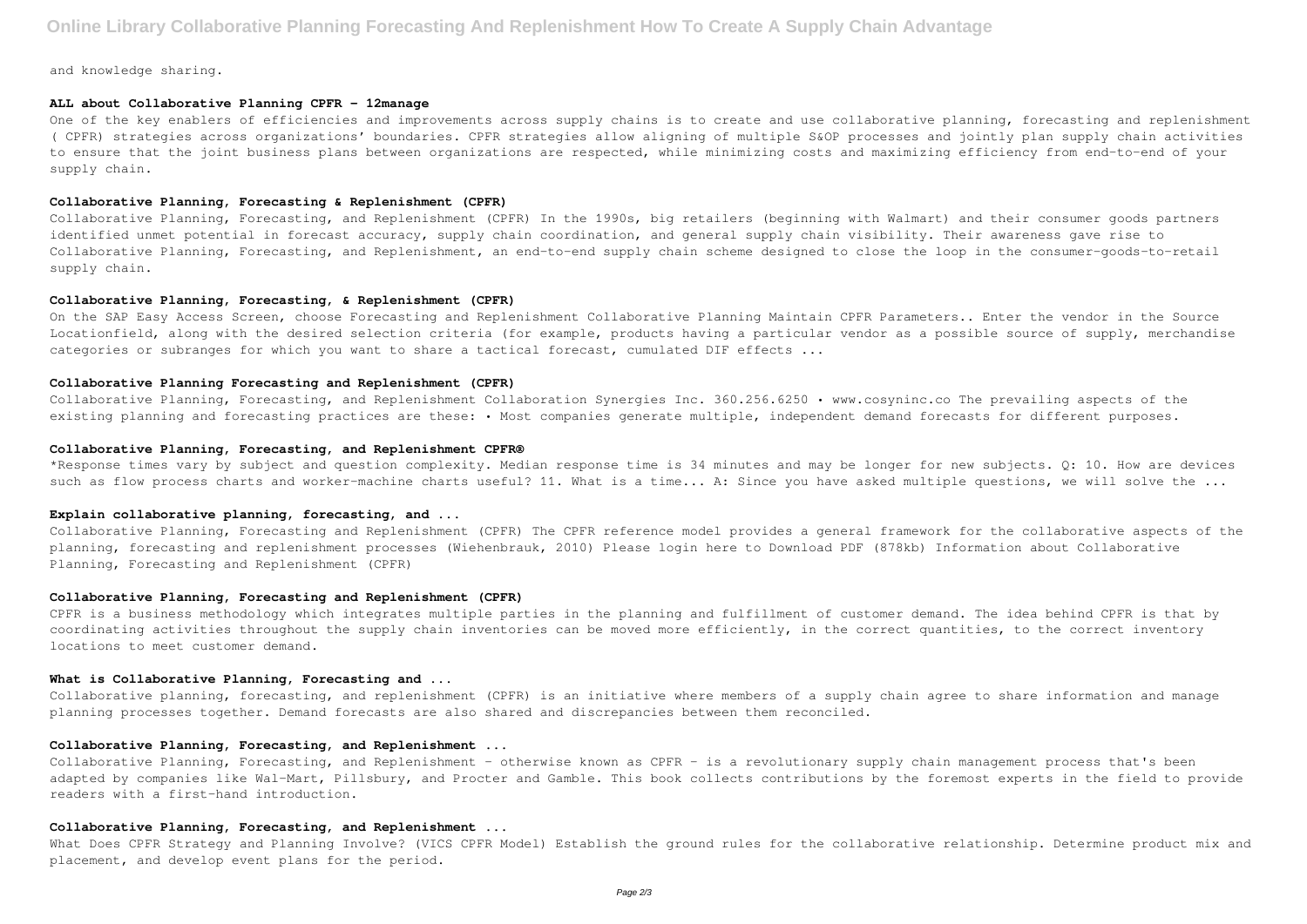and knowledge sharing.

## **ALL about Collaborative Planning CPFR - 12manage**

One of the key enablers of efficiencies and improvements across supply chains is to create and use collaborative planning, forecasting and replenishment ( CPFR) strategies across organizations' boundaries. CPFR strategies allow aligning of multiple S&OP processes and jointly plan supply chain activities to ensure that the joint business plans between organizations are respected, while minimizing costs and maximizing efficiency from end-to-end of your supply chain.

On the SAP Easy Access Screen, choose Forecasting and Replenishment Collaborative Planning Maintain CPFR Parameters.. Enter the vendor in the Source Locationfield, along with the desired selection criteria (for example, products having a particular vendor as a possible source of supply, merchandise categories or subranges for which you want to share a tactical forecast, cumulated DIF effects ...

## **Collaborative Planning, Forecasting & Replenishment (CPFR)**

Collaborative Planning, Forecasting, and Replenishment (CPFR) In the 1990s, big retailers (beginning with Walmart) and their consumer goods partners identified unmet potential in forecast accuracy, supply chain coordination, and general supply chain visibility. Their awareness gave rise to Collaborative Planning, Forecasting, and Replenishment, an end-to-end supply chain scheme designed to close the loop in the consumer-goods-to-retail supply chain.

\*Response times vary by subject and question complexity. Median response time is 34 minutes and may be longer for new subjects. Q: 10. How are devices such as flow process charts and worker-machine charts useful? 11. What is a time... A: Since you have asked multiple questions, we will solve the ...

## **Collaborative Planning, Forecasting, & Replenishment (CPFR)**

#### **Collaborative Planning Forecasting and Replenishment (CPFR)**

Collaborative Planning, Forecasting, and Replenishment Collaboration Synergies Inc. 360.256.6250 • www.cosyninc.co The prevailing aspects of the existing planning and forecasting practices are these: • Most companies generate multiple, independent demand forecasts for different purposes.

Collaborative Planning, Forecasting, and Replenishment - otherwise known as CPFR - is a revolutionary supply chain management process that's been adapted by companies like Wal-Mart, Pillsbury, and Procter and Gamble. This book collects contributions by the foremost experts in the field to provide readers with a first-hand introduction.

## **Collaborative Planning, Forecasting, and Replenishment CPFR®**

What Does CPFR Strategy and Planning Involve? (VICS CPFR Model) Establish the ground rules for the collaborative relationship. Determine product mix and placement, and develop event plans for the period.

## **Explain collaborative planning, forecasting, and ...**

Collaborative Planning, Forecasting and Replenishment (CPFR) The CPFR reference model provides a general framework for the collaborative aspects of the planning, forecasting and replenishment processes (Wiehenbrauk, 2010) Please login here to Download PDF (878kb) Information about Collaborative Planning, Forecasting and Replenishment (CPFR)

#### **Collaborative Planning, Forecasting and Replenishment (CPFR)**

CPFR is a business methodology which integrates multiple parties in the planning and fulfillment of customer demand. The idea behind CPFR is that by coordinating activities throughout the supply chain inventories can be moved more efficiently, in the correct quantities, to the correct inventory locations to meet customer demand.

## **What is Collaborative Planning, Forecasting and ...**

Collaborative planning, forecasting, and replenishment (CPFR) is an initiative where members of a supply chain agree to share information and manage planning processes together. Demand forecasts are also shared and discrepancies between them reconciled.

## **Collaborative Planning, Forecasting, and Replenishment ...**

#### **Collaborative Planning, Forecasting, and Replenishment ...**